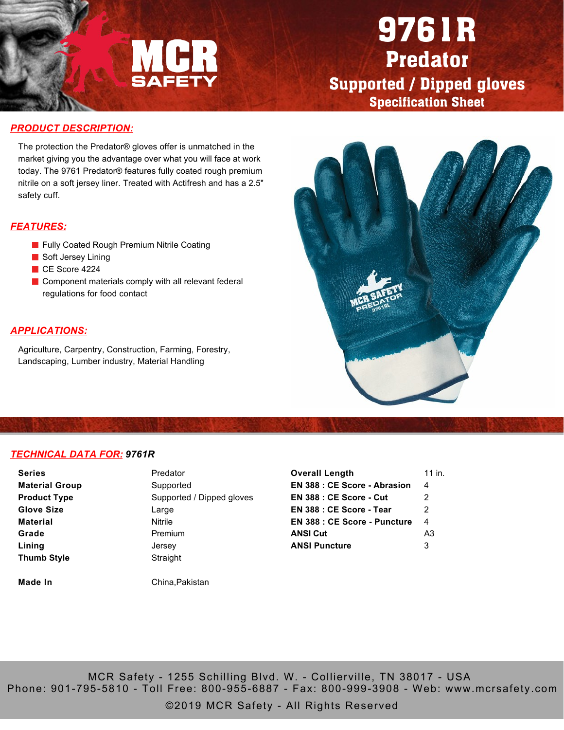

# 9761R Predator Supported / Dipped gloves Specification Sheet

#### *PRODUCT DESCRIPTION:*

The protection the Predator® gloves offer is unmatched in the market giving you the advantage over what you will face at work today. The 9761 Predator® features fully coated rough premium nitrile on a soft jersey liner. Treated with Actifresh and has a 2.5" safety cuff.

## *FEATURES:*

- **Fully Coated Rough Premium Nitrile Coating**
- **Soft Jersey Lining**
- CE Score 4224
- Component materials comply with all relevant federal regulations for food contact

## *APPLICATIONS:*

Agriculture, Carpentry, Construction, Farming, Forestry, Landscaping, Lumber industry, Material Handling



#### *TECHNICAL DATA FOR: 9761R*

| <b>Series</b>         | Predator                  | <b>Overall Length</b>               | 11 in.         |
|-----------------------|---------------------------|-------------------------------------|----------------|
| <b>Material Group</b> | Supported                 | <b>EN 388 : CE Score - Abrasion</b> | 4              |
| <b>Product Type</b>   | Supported / Dipped gloves | <b>EN 388 : CE Score - Cut</b>      | 2              |
| <b>Glove Size</b>     | Large                     | EN 388 : CE Score - Tear            | 2              |
| <b>Material</b>       | Nitrile                   | <b>EN 388 : CE Score - Puncture</b> | 4              |
| Grade                 | Premium                   | <b>ANSI Cut</b>                     | A <sub>3</sub> |
| Lining                | Jersey                    | <b>ANSI Puncture</b>                | 3              |
| <b>Thumb Style</b>    | Straight                  |                                     |                |

**Made In** China, Pakistan

MCR Safety - 1255 Schilling Blvd. W. - Collierville, TN 38017 - USA Phone: 901-795-5810 - Toll Free: 800-955-6887 - Fax: 800-999-3908 - Web: www.mcrsafety.com

©2019 MCR Safety - All Rights Reserved